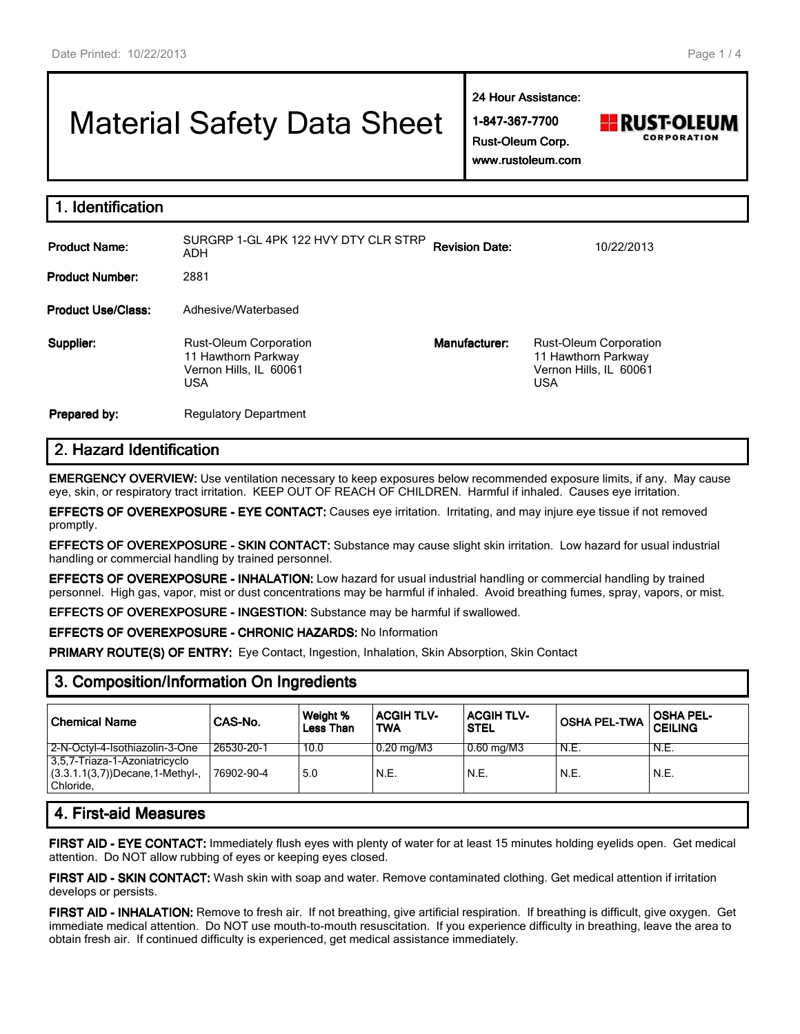# Material Safety Data Sheet

**24 Hour Assistance:**

**1-847-367-7700 Rust-Oleum Corp.**



|  | www.rustoleum.com |
|--|-------------------|
|--|-------------------|

| <b>Identification</b>     |                                                                                              |               |                                                                                              |  |  |
|---------------------------|----------------------------------------------------------------------------------------------|---------------|----------------------------------------------------------------------------------------------|--|--|
| <b>Product Name:</b>      | SURGRP 1-GL 4PK 122 HVY DTY CLR STRP<br><b>Revision Date:</b><br>10/22/2013<br>ADH           |               |                                                                                              |  |  |
| <b>Product Number:</b>    | 2881                                                                                         |               |                                                                                              |  |  |
| <b>Product Use/Class:</b> | Adhesive/Waterbased                                                                          |               |                                                                                              |  |  |
| Supplier:                 | <b>Rust-Oleum Corporation</b><br>11 Hawthorn Parkway<br>Vernon Hills, IL 60061<br><b>USA</b> | Manufacturer: | <b>Rust-Oleum Corporation</b><br>11 Hawthorn Parkway<br>Vernon Hills, IL 60061<br><b>USA</b> |  |  |
| Prepared by:              | <b>Regulatory Department</b>                                                                 |               |                                                                                              |  |  |

# **2. Hazard Identification**

**EMERGENCY OVERVIEW:** Use ventilation necessary to keep exposures below recommended exposure limits, if any. May cause eye, skin, or respiratory tract irritation. KEEP OUT OF REACH OF CHILDREN. Harmful if inhaled. Causes eye irritation.

**EFFECTS OF OVEREXPOSURE - EYE CONTACT:** Causes eye irritation. Irritating, and may injure eye tissue if not removed promptly.

**EFFECTS OF OVEREXPOSURE - SKIN CONTACT:** Substance may cause slight skin irritation. Low hazard for usual industrial handling or commercial handling by trained personnel.

**EFFECTS OF OVEREXPOSURE - INHALATION:** Low hazard for usual industrial handling or commercial handling by trained personnel. High gas, vapor, mist or dust concentrations may be harmful if inhaled. Avoid breathing fumes, spray, vapors, or mist.

**EFFECTS OF OVEREXPOSURE - INGESTION:** Substance may be harmful if swallowed.

**EFFECTS OF OVEREXPOSURE - CHRONIC HAZARDS:** No Information

**PRIMARY ROUTE(S) OF ENTRY:** Eye Contact, Ingestion, Inhalation, Skin Absorption, Skin Contact

| <b>Chemical Name</b>                                                              | CAS-No.    | Weight %<br>Less Than | <b>ACGIH TLV-</b><br><b>TWA</b> | <b>ACGIH TLV-</b><br><b>STEL</b> | <b>OSHA PEL-TWA</b> | <b>OSHA PEL-</b><br><b>CEILING</b> |
|-----------------------------------------------------------------------------------|------------|-----------------------|---------------------------------|----------------------------------|---------------------|------------------------------------|
| 2-N-Octyl-4-Isothiazolin-3-One                                                    | 26530-20-1 | 10.0                  | $0.20$ mg/M3                    | $0.60$ mg/M3                     | N.E.                | N.E.                               |
| 3,5,7-Triaza-1-Azoniatricyclo<br>$(3.3.1.1(3,7))$ Decane, 1-Methyl-,<br>Chloride. | 76902-90-4 | 5.0                   | N.E.                            | N.E.                             | N.E.                | N.E.                               |
| .                                                                                 |            |                       |                                 |                                  |                     |                                    |

# **3. Composition/Information On Ingredients**

# **4. First-aid Measures**

**FIRST AID - EYE CONTACT:** Immediately flush eyes with plenty of water for at least 15 minutes holding eyelids open. Get medical attention. Do NOT allow rubbing of eyes or keeping eyes closed.

**FIRST AID - SKIN CONTACT:** Wash skin with soap and water. Remove contaminated clothing. Get medical attention if irritation develops or persists.

**FIRST AID - INHALATION:** Remove to fresh air. If not breathing, give artificial respiration. If breathing is difficult, give oxygen. Get immediate medical attention. Do NOT use mouth-to-mouth resuscitation. If you experience difficulty in breathing, leave the area to obtain fresh air. If continued difficulty is experienced, get medical assistance immediately.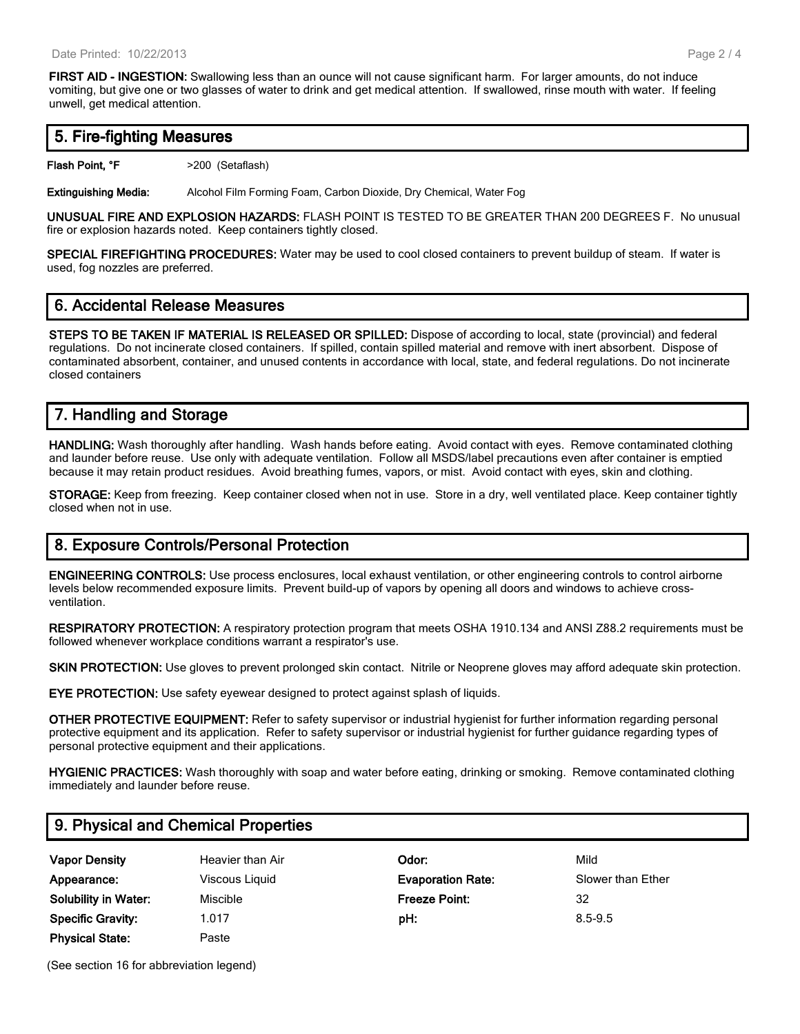**FIRST AID - INGESTION:** Swallowing less than an ounce will not cause significant harm. For larger amounts, do not induce vomiting, but give one or two glasses of water to drink and get medical attention. If swallowed, rinse mouth with water. If feeling unwell, get medical attention.

#### **5. Fire-fighting Measures**

**Flash Point, °F**  $>200$  (Setaflash)

**Extinguishing Media:** Alcohol Film Forming Foam, Carbon Dioxide, Dry Chemical, Water Fog

**UNUSUAL FIRE AND EXPLOSION HAZARDS:** FLASH POINT IS TESTED TO BE GREATER THAN 200 DEGREES F. No unusual fire or explosion hazards noted. Keep containers tightly closed.

**SPECIAL FIREFIGHTING PROCEDURES:** Water may be used to cool closed containers to prevent buildup of steam. If water is used, fog nozzles are preferred.

#### **6. Accidental Release Measures**

**STEPS TO BE TAKEN IF MATERIAL IS RELEASED OR SPILLED:** Dispose of according to local, state (provincial) and federal regulations. Do not incinerate closed containers. If spilled, contain spilled material and remove with inert absorbent. Dispose of contaminated absorbent, container, and unused contents in accordance with local, state, and federal regulations. Do not incinerate closed containers

# **7. Handling and Storage**

**HANDLING:** Wash thoroughly after handling. Wash hands before eating. Avoid contact with eyes. Remove contaminated clothing and launder before reuse. Use only with adequate ventilation. Follow all MSDS/label precautions even after container is emptied because it may retain product residues. Avoid breathing fumes, vapors, or mist. Avoid contact with eyes, skin and clothing.

**STORAGE:** Keep from freezing. Keep container closed when not in use. Store in a dry, well ventilated place. Keep container tightly closed when not in use.

#### **8. Exposure Controls/Personal Protection**

**ENGINEERING CONTROLS:** Use process enclosures, local exhaust ventilation, or other engineering controls to control airborne levels below recommended exposure limits. Prevent build-up of vapors by opening all doors and windows to achieve crossventilation.

**RESPIRATORY PROTECTION:** A respiratory protection program that meets OSHA 1910.134 and ANSI Z88.2 requirements must be followed whenever workplace conditions warrant a respirator's use.

**SKIN PROTECTION:** Use gloves to prevent prolonged skin contact. Nitrile or Neoprene gloves may afford adequate skin protection.

**EYE PROTECTION:** Use safety eyewear designed to protect against splash of liquids.

**OTHER PROTECTIVE EQUIPMENT:** Refer to safety supervisor or industrial hygienist for further information regarding personal protective equipment and its application. Refer to safety supervisor or industrial hygienist for further guidance regarding types of personal protective equipment and their applications.

**HYGIENIC PRACTICES:** Wash thoroughly with soap and water before eating, drinking or smoking. Remove contaminated clothing immediately and launder before reuse.

#### **9. Physical and Chemical Properties**

| <b>Vapor Density</b>        | Heavier than Air | Odor:                    | Mild              |
|-----------------------------|------------------|--------------------------|-------------------|
| Appearance:                 | Viscous Liquid   | <b>Evaporation Rate:</b> | Slower than Ether |
| <b>Solubility in Water:</b> | Miscible         | Freeze Point:            | 32                |
| <b>Specific Gravity:</b>    | 1.017            | pH:                      | 8.5-9.5           |
| <b>Physical State:</b>      | Paste            |                          |                   |

(See section 16 for abbreviation legend)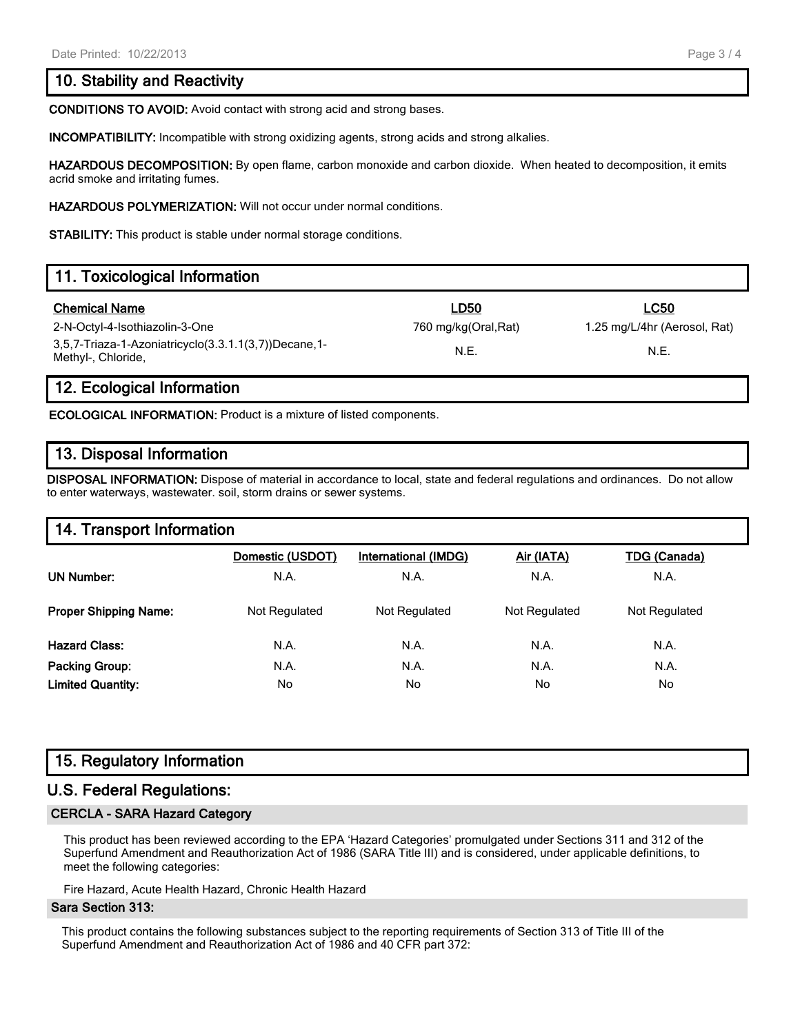#### **10. Stability and Reactivity**

**CONDITIONS TO AVOID:** Avoid contact with strong acid and strong bases.

**INCOMPATIBILITY:** Incompatible with strong oxidizing agents, strong acids and strong alkalies.

**HAZARDOUS DECOMPOSITION:** By open flame, carbon monoxide and carbon dioxide. When heated to decomposition, it emits acrid smoke and irritating fumes.

**HAZARDOUS POLYMERIZATION:** Will not occur under normal conditions.

**STABILITY:** This product is stable under normal storage conditions.

# **11. Toxicological Information Chemical Name LD50 LC50** 2-N-Octyl-4-Isothiazolin-3-One 760 mg/kg(Oral,Rat) 1.25 mg/L/4hr (Aerosol, Rat) 3,5,7-Triaza-1-Azoniatricyclo(3.3.1.1(3,7))Decane,1- N.E. N.E.<br>Methyl-, Chloride,

#### **12. Ecological Information**

**ECOLOGICAL INFORMATION:** Product is a mixture of listed components.

#### **13. Disposal Information**

**DISPOSAL INFORMATION:** Dispose of material in accordance to local, state and federal regulations and ordinances. Do not allow to enter waterways, wastewater. soil, storm drains or sewer systems.

#### **14. Transport Information**

|                              | Domestic (USDOT) | International (IMDG) | Air (IATA)    | <b>TDG (Canada)</b> |
|------------------------------|------------------|----------------------|---------------|---------------------|
| <b>UN Number:</b>            | N.A.             | N.A.                 | N.A.          | N.A.                |
| <b>Proper Shipping Name:</b> | Not Regulated    | Not Regulated        | Not Regulated | Not Regulated       |
| <b>Hazard Class:</b>         | N.A.             | N.A.                 | N.A.          | N.A.                |
| Packing Group:               | N.A.             | N.A.                 | N.A.          | N.A.                |
| <b>Limited Quantity:</b>     | No               | No                   | No.           | No                  |

#### **15. Regulatory Information**

#### **U.S. Federal Regulations:**

#### **CERCLA - SARA Hazard Category**

This product has been reviewed according to the EPA 'Hazard Categories' promulgated under Sections 311 and 312 of the Superfund Amendment and Reauthorization Act of 1986 (SARA Title III) and is considered, under applicable definitions, to meet the following categories:

Fire Hazard, Acute Health Hazard, Chronic Health Hazard

#### **Sara Section 313:**

This product contains the following substances subject to the reporting requirements of Section 313 of Title III of the Superfund Amendment and Reauthorization Act of 1986 and 40 CFR part 372: